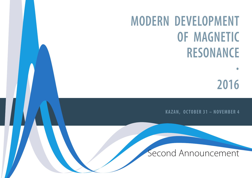# **MODERN DEVELOPMENT OF MAGNETIC RESONANCE**

**·** 

**2016**

**K A Z A N , O C T O B E R 3 1 – N O V E M B E R 4**

## Second Announcement